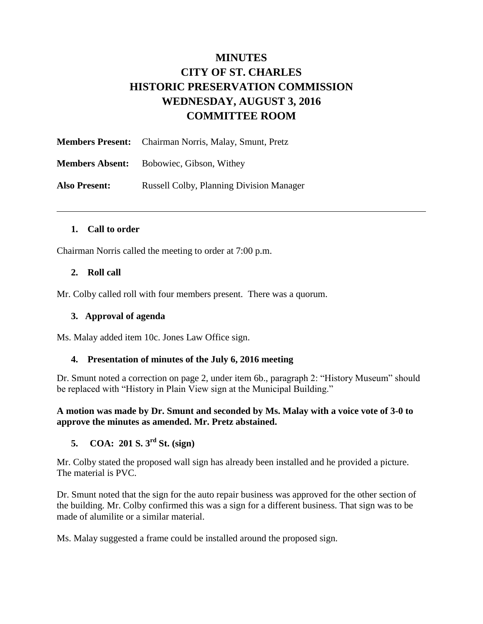# **MINUTES CITY OF ST. CHARLES HISTORIC PRESERVATION COMMISSION WEDNESDAY, AUGUST 3, 2016 COMMITTEE ROOM**

|                      | <b>Members Present:</b> Chairman Norris, Malay, Smunt, Pretz |
|----------------------|--------------------------------------------------------------|
|                      | <b>Members Absent:</b> Bobowiec, Gibson, Withey              |
| <b>Also Present:</b> | <b>Russell Colby, Planning Division Manager</b>              |

#### **1. Call to order**

Chairman Norris called the meeting to order at 7:00 p.m.

#### **2. Roll call**

Mr. Colby called roll with four members present. There was a quorum.

#### **3. Approval of agenda**

Ms. Malay added item 10c. Jones Law Office sign.

#### **4. Presentation of minutes of the July 6, 2016 meeting**

Dr. Smunt noted a correction on page 2, under item 6b., paragraph 2: "History Museum" should be replaced with "History in Plain View sign at the Municipal Building."

**A motion was made by Dr. Smunt and seconded by Ms. Malay with a voice vote of 3-0 to approve the minutes as amended. Mr. Pretz abstained.**

# **5. COA: 201 S. 3rd St. (sign)**

Mr. Colby stated the proposed wall sign has already been installed and he provided a picture. The material is PVC.

Dr. Smunt noted that the sign for the auto repair business was approved for the other section of the building. Mr. Colby confirmed this was a sign for a different business. That sign was to be made of alumilite or a similar material.

Ms. Malay suggested a frame could be installed around the proposed sign.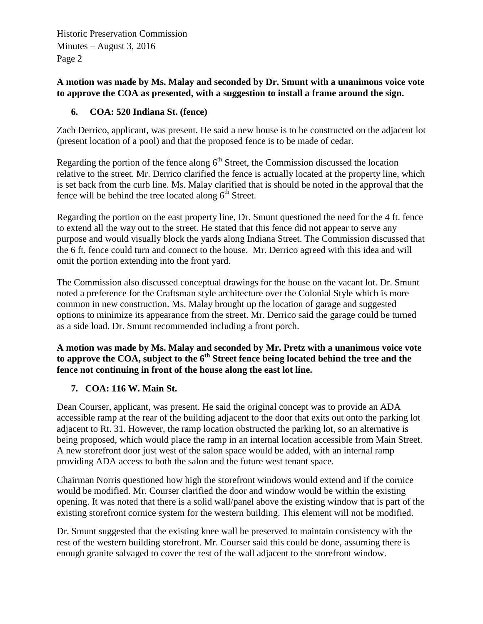## **A motion was made by Ms. Malay and seconded by Dr. Smunt with a unanimous voice vote to approve the COA as presented, with a suggestion to install a frame around the sign.**

## **6. COA: 520 Indiana St. (fence)**

Zach Derrico, applicant, was present. He said a new house is to be constructed on the adjacent lot (present location of a pool) and that the proposed fence is to be made of cedar.

Regarding the portion of the fence along  $6<sup>th</sup>$  Street, the Commission discussed the location relative to the street. Mr. Derrico clarified the fence is actually located at the property line, which is set back from the curb line. Ms. Malay clarified that is should be noted in the approval that the fence will be behind the tree located along  $6<sup>th</sup>$  Street.

Regarding the portion on the east property line, Dr. Smunt questioned the need for the 4 ft. fence to extend all the way out to the street. He stated that this fence did not appear to serve any purpose and would visually block the yards along Indiana Street. The Commission discussed that the 6 ft. fence could turn and connect to the house. Mr. Derrico agreed with this idea and will omit the portion extending into the front yard.

The Commission also discussed conceptual drawings for the house on the vacant lot. Dr. Smunt noted a preference for the Craftsman style architecture over the Colonial Style which is more common in new construction. Ms. Malay brought up the location of garage and suggested options to minimize its appearance from the street. Mr. Derrico said the garage could be turned as a side load. Dr. Smunt recommended including a front porch.

**A motion was made by Ms. Malay and seconded by Mr. Pretz with a unanimous voice vote to approve the COA, subject to the 6th Street fence being located behind the tree and the fence not continuing in front of the house along the east lot line.**

## **7. COA: 116 W. Main St.**

Dean Courser, applicant, was present. He said the original concept was to provide an ADA accessible ramp at the rear of the building adjacent to the door that exits out onto the parking lot adjacent to Rt. 31. However, the ramp location obstructed the parking lot, so an alternative is being proposed, which would place the ramp in an internal location accessible from Main Street. A new storefront door just west of the salon space would be added, with an internal ramp providing ADA access to both the salon and the future west tenant space.

Chairman Norris questioned how high the storefront windows would extend and if the cornice would be modified. Mr. Courser clarified the door and window would be within the existing opening. It was noted that there is a solid wall/panel above the existing window that is part of the existing storefront cornice system for the western building. This element will not be modified.

Dr. Smunt suggested that the existing knee wall be preserved to maintain consistency with the rest of the western building storefront. Mr. Courser said this could be done, assuming there is enough granite salvaged to cover the rest of the wall adjacent to the storefront window.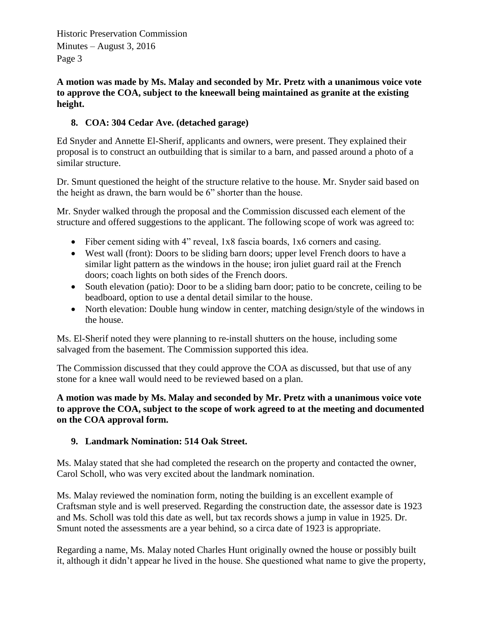**A motion was made by Ms. Malay and seconded by Mr. Pretz with a unanimous voice vote to approve the COA, subject to the kneewall being maintained as granite at the existing height.**

## **8. COA: 304 Cedar Ave. (detached garage)**

Ed Snyder and Annette El-Sherif, applicants and owners, were present. They explained their proposal is to construct an outbuilding that is similar to a barn, and passed around a photo of a similar structure.

Dr. Smunt questioned the height of the structure relative to the house. Mr. Snyder said based on the height as drawn, the barn would be 6" shorter than the house.

Mr. Snyder walked through the proposal and the Commission discussed each element of the structure and offered suggestions to the applicant. The following scope of work was agreed to:

- Fiber cement siding with 4" reveal, 1x8 fascia boards, 1x6 corners and casing.
- West wall (front): Doors to be sliding barn doors; upper level French doors to have a similar light pattern as the windows in the house; iron juliet guard rail at the French doors; coach lights on both sides of the French doors.
- South elevation (patio): Door to be a sliding barn door; patio to be concrete, ceiling to be beadboard, option to use a dental detail similar to the house.
- North elevation: Double hung window in center, matching design/style of the windows in the house.

Ms. El-Sherif noted they were planning to re-install shutters on the house, including some salvaged from the basement. The Commission supported this idea.

The Commission discussed that they could approve the COA as discussed, but that use of any stone for a knee wall would need to be reviewed based on a plan.

**A motion was made by Ms. Malay and seconded by Mr. Pretz with a unanimous voice vote to approve the COA, subject to the scope of work agreed to at the meeting and documented on the COA approval form.**

## **9. Landmark Nomination: 514 Oak Street.**

Ms. Malay stated that she had completed the research on the property and contacted the owner, Carol Scholl, who was very excited about the landmark nomination.

Ms. Malay reviewed the nomination form, noting the building is an excellent example of Craftsman style and is well preserved. Regarding the construction date, the assessor date is 1923 and Ms. Scholl was told this date as well, but tax records shows a jump in value in 1925. Dr. Smunt noted the assessments are a year behind, so a circa date of 1923 is appropriate.

Regarding a name, Ms. Malay noted Charles Hunt originally owned the house or possibly built it, although it didn't appear he lived in the house. She questioned what name to give the property,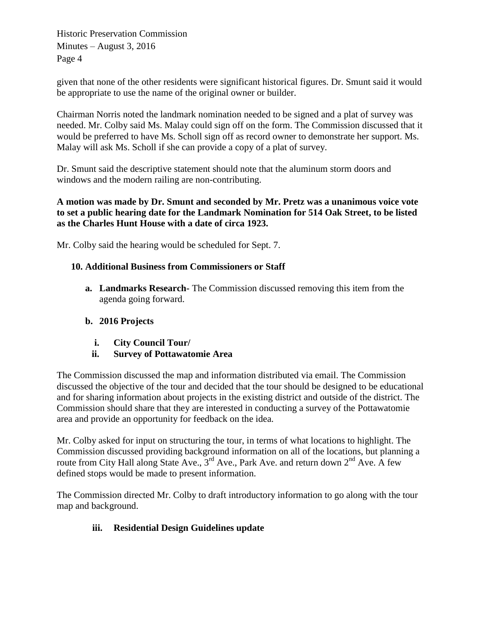given that none of the other residents were significant historical figures. Dr. Smunt said it would be appropriate to use the name of the original owner or builder.

Chairman Norris noted the landmark nomination needed to be signed and a plat of survey was needed. Mr. Colby said Ms. Malay could sign off on the form. The Commission discussed that it would be preferred to have Ms. Scholl sign off as record owner to demonstrate her support. Ms. Malay will ask Ms. Scholl if she can provide a copy of a plat of survey.

Dr. Smunt said the descriptive statement should note that the aluminum storm doors and windows and the modern railing are non-contributing.

#### **A motion was made by Dr. Smunt and seconded by Mr. Pretz was a unanimous voice vote to set a public hearing date for the Landmark Nomination for 514 Oak Street, to be listed as the Charles Hunt House with a date of circa 1923.**

Mr. Colby said the hearing would be scheduled for Sept. 7.

## **10. Additional Business from Commissioners or Staff**

**a. Landmarks Research-** The Commission discussed removing this item from the agenda going forward.

## **b. 2016 Projects**

- **i. City Council Tour/**
- **ii. Survey of Pottawatomie Area**

The Commission discussed the map and information distributed via email. The Commission discussed the objective of the tour and decided that the tour should be designed to be educational and for sharing information about projects in the existing district and outside of the district. The Commission should share that they are interested in conducting a survey of the Pottawatomie area and provide an opportunity for feedback on the idea.

Mr. Colby asked for input on structuring the tour, in terms of what locations to highlight. The Commission discussed providing background information on all of the locations, but planning a route from City Hall along State Ave.,  $3^{rd}$  Ave., Park Ave. and return down  $2^{nd}$  Ave. A few defined stops would be made to present information.

The Commission directed Mr. Colby to draft introductory information to go along with the tour map and background.

# **iii. Residential Design Guidelines update**